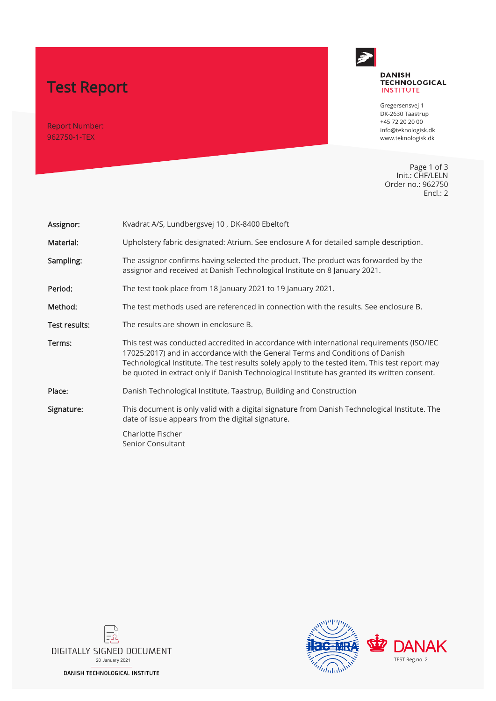# Test Report

Report Number: 962750-1-TEX



## **DANISH TECHNOLOGICAL**<br>INSTITUTE

Gregersensvej 1 DK-2630 Taastrup +45 72 20 20 00 info@teknologisk.dk www.teknologisk.dk

Page 1 of 3 Init.: CHF/LELN Order no.: 962750 Encl.: 2

| Assignor:     | Kvadrat A/S, Lundbergsvej 10, DK-8400 Ebeltoft                                                                                                                                                                                                                                                                                                                                |  |  |
|---------------|-------------------------------------------------------------------------------------------------------------------------------------------------------------------------------------------------------------------------------------------------------------------------------------------------------------------------------------------------------------------------------|--|--|
| Material:     | Upholstery fabric designated: Atrium. See enclosure A for detailed sample description.                                                                                                                                                                                                                                                                                        |  |  |
| Sampling:     | The assignor confirms having selected the product. The product was forwarded by the<br>assignor and received at Danish Technological Institute on 8 January 2021.                                                                                                                                                                                                             |  |  |
| Period:       | The test took place from 18 January 2021 to 19 January 2021.                                                                                                                                                                                                                                                                                                                  |  |  |
| Method:       | The test methods used are referenced in connection with the results. See enclosure B.                                                                                                                                                                                                                                                                                         |  |  |
| Test results: | The results are shown in enclosure B.                                                                                                                                                                                                                                                                                                                                         |  |  |
| Terms:        | This test was conducted accredited in accordance with international requirements (ISO/IEC<br>17025:2017) and in accordance with the General Terms and Conditions of Danish<br>Technological Institute. The test results solely apply to the tested item. This test report may<br>be quoted in extract only if Danish Technological Institute has granted its written consent. |  |  |
| Place:        | Danish Technological Institute, Taastrup, Building and Construction                                                                                                                                                                                                                                                                                                           |  |  |
| Signature:    | This document is only valid with a digital signature from Danish Technological Institute. The<br>date of issue appears from the digital signature.                                                                                                                                                                                                                            |  |  |
|               | Charlotte Fischer<br>Senior Consultant                                                                                                                                                                                                                                                                                                                                        |  |  |



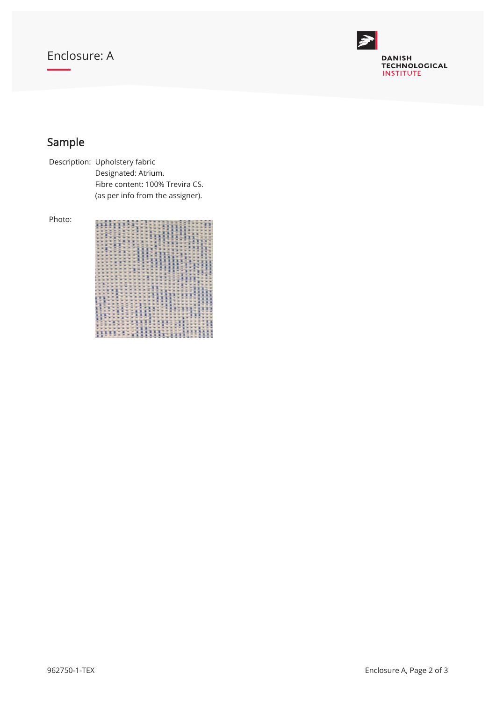## Enclosure: A



## Sample

Description: Upholstery fabric Designated: Atrium. Fibre content: 100% Trevira CS. (as per info from the assigner).

Photo: